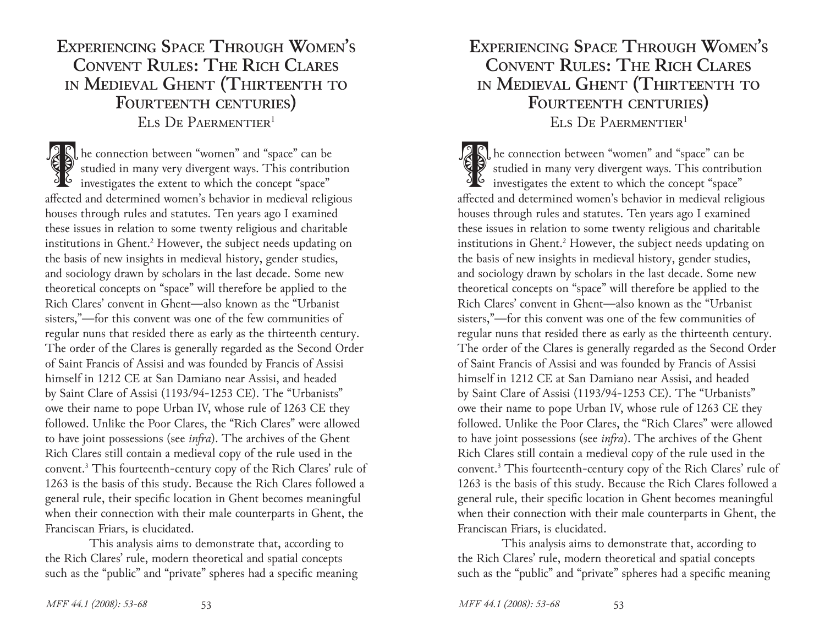# **Experiencing Space Through Women's Convent Rules: The Rich Clares in Medieval Ghent (Thirteenth to Fourteenth centuries)** ELS DE PAERMENTIER<sup>1</sup>

The connection between "women" and "space" can be studied in many very divergent ways. This contribute investigates the extent to which the concept "space" studied in many very divergent ways. This contribution affected and determined women's behavior in medieval religious houses through rules and statutes. Ten years ago I examined these issues in relation to some twenty religious and charitable institutions in Ghent.<sup>2</sup> However, the subject needs updating on the basis of new insights in medieval history, gender studies, and sociology drawn by scholars in the last decade. Some new theoretical concepts on "space" will therefore be applied to the Rich Clares' convent in Ghent—also known as the "Urbanist sisters,"—for this convent was one of the few communities of regular nuns that resided there as early as the thirteenth century. The order of the Clares is generally regarded as the Second Order of Saint Francis of Assisi and was founded by Francis of Assisi himself in 1212 CE at San Damiano near Assisi, and headed by Saint Clare of Assisi (1193/94-1253 CE). The "Urbanists" owe their name to pope Urban IV, whose rule of 1263 CE they followed. Unlike the Poor Clares, the "Rich Clares" were allowed to have joint possessions (see *infra*). The archives of the Ghent Rich Clares still contain a medieval copy of the rule used in the convent.3 This fourteenth-century copy of the Rich Clares' rule of 1263 is the basis of this study. Because the Rich Clares followed a general rule, their specific location in Ghent becomes meaningful when their connection with their male counterparts in Ghent, the Franciscan Friars, is elucidated.

This analysis aims to demonstrate that, according to the Rich Clares' rule, modern theoretical and spatial concepts such as the "public" and "private" spheres had a specific meaning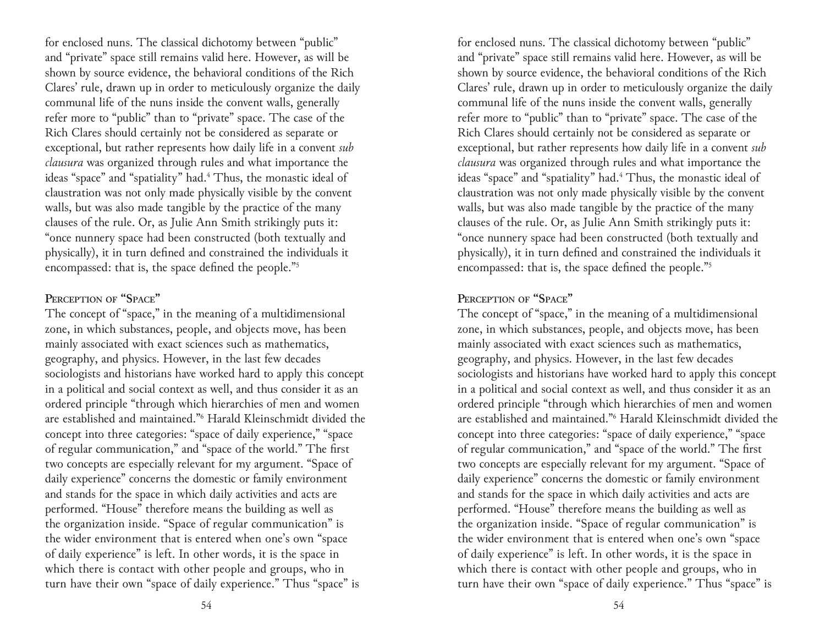for enclosed nuns. The classical dichotomy between "public" and "private" space still remains valid here. However, as will be shown by source evidence, the behavioral conditions of the Rich Clares' rule, drawn up in order to meticulously organize the daily communal life of the nuns inside the convent walls, generally refer more to "public" than to "private" space. The case of the Rich Clares should certainly not be considered as separate or exceptional, but rather represents how daily life in a convent *sub clausura* was organized through rules and what importance the ideas "space" and "spatiality" had.<sup>4</sup> Thus, the monastic ideal of claustration was not only made physically visible by the convent walls, but was also made tangible by the practice of the many clauses of the rule. Or, as Julie Ann Smith strikingly puts it: "once nunnery space had been constructed (both textually and physically), it in turn defined and constrained the individuals it encompassed: that is, the space defined the people."<sup>5</sup>

### **Perception of "Space"**

The concept of "space," in the meaning of a multidimensional zone, in which substances, people, and objects move, has been mainly associated with exact sciences such as mathematics, geography, and physics. However, in the last few decades sociologists and historians have worked hard to apply this concept in a political and social context as well, and thus consider it as an ordered principle "through which hierarchies of men and women are established and maintained."6 Harald Kleinschmidt divided the concept into three categories: "space of daily experience," "space of regular communication," and "space of the world." The first two concepts are especially relevant for my argument. "Space of daily experience" concerns the domestic or family environment and stands for the space in which daily activities and acts are performed. "House" therefore means the building as well as the organization inside. "Space of regular communication" is the wider environment that is entered when one's own "space of daily experience" is left. In other words, it is the space in which there is contact with other people and groups, who in turn have their own "space of daily experience." Thus "space" is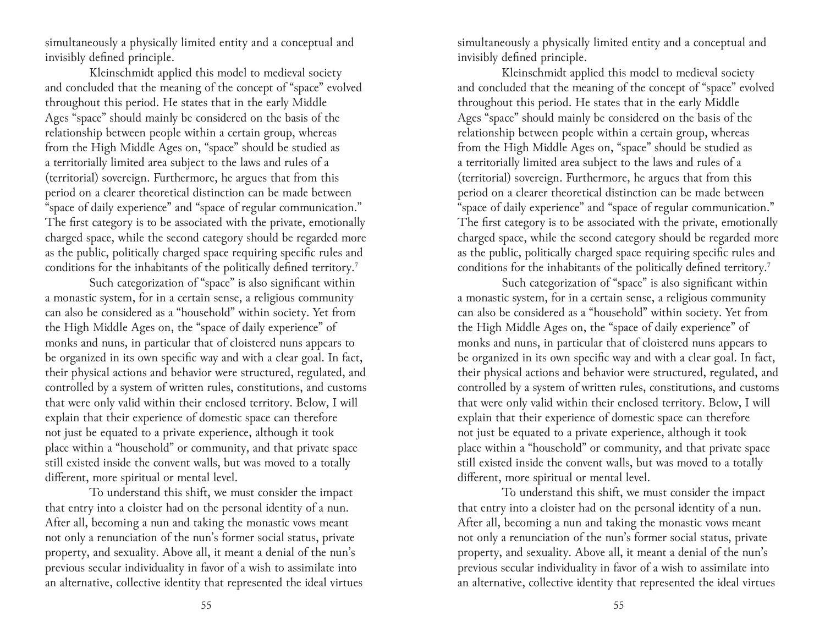simultaneously a physically limited entity and a conceptual and invisibly defined principle.

Kleinschmidt applied this model to medieval society and concluded that the meaning of the concept of "space" evolved throughout this period. He states that in the early Middle Ages "space" should mainly be considered on the basis of the relationship between people within a certain group, whereas from the High Middle Ages on, "space" should be studied as a territorially limited area subject to the laws and rules of a (territorial) sovereign. Furthermore, he argues that from this period on a clearer theoretical distinction can be made between "space of daily experience" and "space of regular communication." The first category is to be associated with the private, emotionally charged space, while the second category should be regarded more as the public, politically charged space requiring specific rules and conditions for the inhabitants of the politically defined territory.<sup>7</sup>

Such categorization of "space" is also significant within a monastic system, for in a certain sense, a religious community can also be considered as a "household" within society. Yet from the High Middle Ages on, the "space of daily experience" of monks and nuns, in particular that of cloistered nuns appears to be organized in its own specific way and with a clear goal. In fact, their physical actions and behavior were structured, regulated, and controlled by a system of written rules, constitutions, and customs that were only valid within their enclosed territory. Below, I will explain that their experience of domestic space can therefore not just be equated to a private experience, although it took place within a "household" or community, and that private space still existed inside the convent walls, but was moved to a totally different, more spiritual or mental level.

To understand this shift, we must consider the impact that entry into a cloister had on the personal identity of a nun. After all, becoming a nun and taking the monastic vows meant not only a renunciation of the nun's former social status, private property, and sexuality. Above all, it meant a denial of the nun's previous secular individuality in favor of a wish to assimilate into an alternative, collective identity that represented the ideal virtues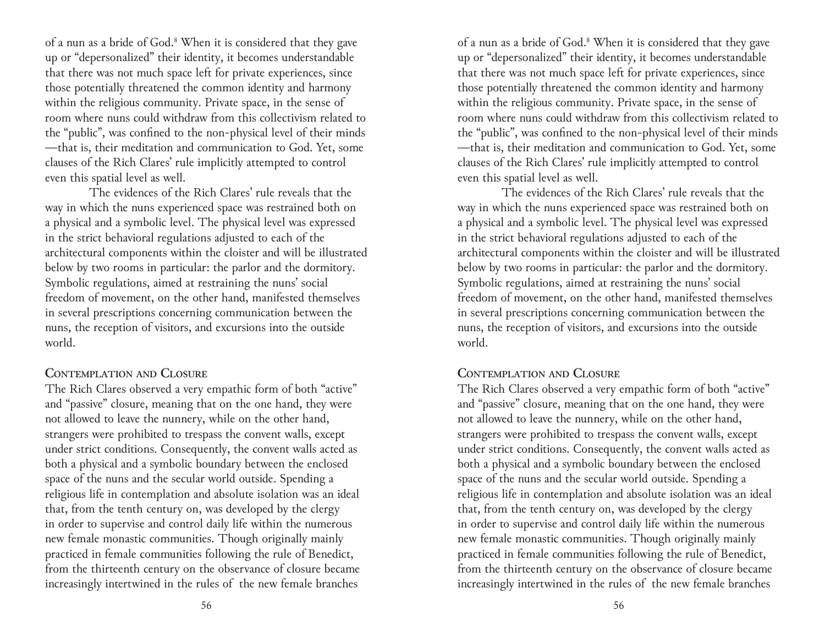of a nun as a bride of God.8 When it is considered that they gave up or "depersonalized" their identity, it becomes understandable that there was not much space left for private experiences, since those potentially threatened the common identity and harmony within the religious community. Private space, in the sense of room where nuns could withdraw from this collectivism related to the "public", was confined to the non-physical level of their minds —that is, their meditation and communication to God. Yet, some clauses of the Rich Clares' rule implicitly attempted to control even this spatial level as well.

The evidences of the Rich Clares' rule reveals that the way in which the nuns experienced space was restrained both on a physical and a symbolic level. The physical level was expressed in the strict behavioral regulations adjusted to each of the architectural components within the cloister and will be illustrated below by two rooms in particular: the parlor and the dormitory. Symbolic regulations, aimed at restraining the nuns' social freedom of movement, on the other hand, manifested themselves in several prescriptions concerning communication between the nuns, the reception of visitors, and excursions into the outside world.

## **Contemplation and Closure**

The Rich Clares observed a very empathic form of both "active" and "passive" closure, meaning that on the one hand, they were not allowed to leave the nunnery, while on the other hand, strangers were prohibited to trespass the convent walls, except under strict conditions. Consequently, the convent walls acted as both a physical and a symbolic boundary between the enclosed space of the nuns and the secular world outside. Spending a religious life in contemplation and absolute isolation was an ideal that, from the tenth century on, was developed by the clergy in order to supervise and control daily life within the numerous new female monastic communities. Though originally mainly practiced in female communities following the rule of Benedict, from the thirteenth century on the observance of closure became increasingly intertwined in the rules of the new female branches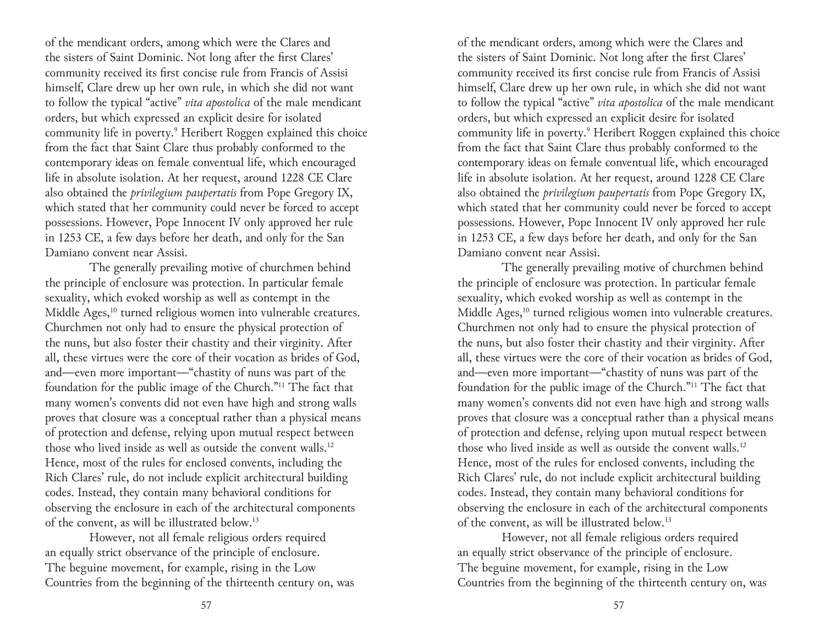of the mendicant orders, among which were the Clares and the sisters of Saint Dominic. Not long after the first Clares' community received its first concise rule from Francis of Assisi himself, Clare drew up her own rule, in which she did not want to follow the typical "active" *vita apostolica* of the male mendicant orders, but which expressed an explicit desire for isolated community life in poverty.9 Heribert Roggen explained this choice from the fact that Saint Clare thus probably conformed to the contemporary ideas on female conventual life, which encouraged life in absolute isolation. At her request, around 1228 CE Clare also obtained the *privilegium paupertatis* from Pope Gregory IX, which stated that her community could never be forced to accept possessions. However, Pope Innocent IV only approved her rule in 1253 CE, a few days before her death, and only for the San Damiano convent near Assisi.

The generally prevailing motive of churchmen behind the principle of enclosure was protection. In particular female sexuality, which evoked worship as well as contempt in the Middle Ages,<sup>10</sup> turned religious women into vulnerable creatures. Churchmen not only had to ensure the physical protection of the nuns, but also foster their chastity and their virginity. After all, these virtues were the core of their vocation as brides of God, and—even more important—"chastity of nuns was part of the foundation for the public image of the Church."11 The fact that many women's convents did not even have high and strong walls proves that closure was a conceptual rather than a physical means of protection and defense, relying upon mutual respect between those who lived inside as well as outside the convent walls.<sup>12</sup> Hence, most of the rules for enclosed convents, including the Rich Clares' rule, do not include explicit architectural building codes. Instead, they contain many behavioral conditions for observing the enclosure in each of the architectural components of the convent, as will be illustrated below.13

However, not all female religious orders required an equally strict observance of the principle of enclosure. The beguine movement, for example, rising in the Low Countries from the beginning of the thirteenth century on, was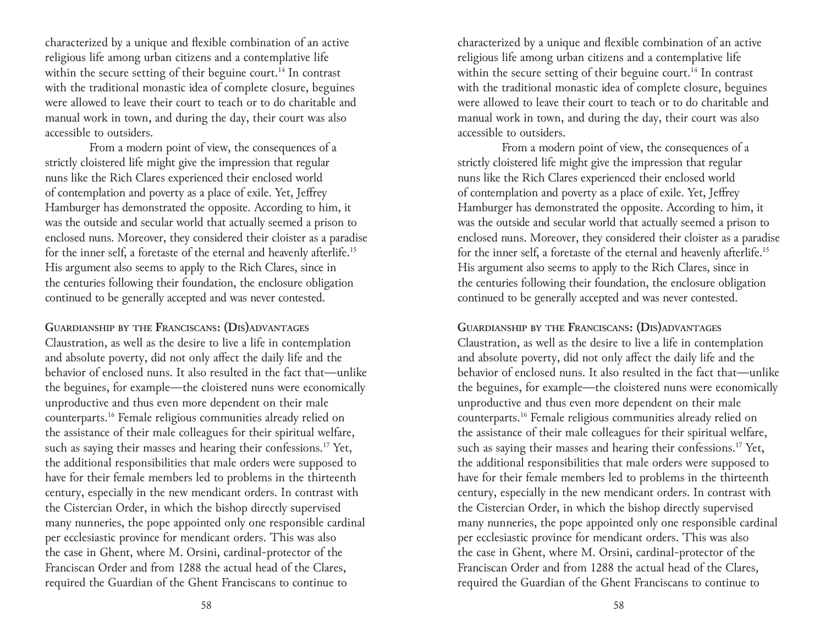characterized by a unique and flexible combination of an active religious life among urban citizens and a contemplative life within the secure setting of their beguine court.<sup>14</sup> In contrast with the traditional monastic idea of complete closure, beguines were allowed to leave their court to teach or to do charitable and manual work in town, and during the day, their court was also accessible to outsiders.

From a modern point of view, the consequences of a strictly cloistered life might give the impression that regular nuns like the Rich Clares experienced their enclosed world of contemplation and poverty as a place of exile. Yet, Jeffrey Hamburger has demonstrated the opposite. According to him, it was the outside and secular world that actually seemed a prison to enclosed nuns. Moreover, they considered their cloister as a paradise for the inner self, a foretaste of the eternal and heavenly afterlife.15 His argument also seems to apply to the Rich Clares, since in the centuries following their foundation, the enclosure obligation continued to be generally accepted and was never contested.

**Guardianship by the Franciscans: (Dis)advantages** Claustration, as well as the desire to live a life in contemplation and absolute poverty, did not only affect the daily life and the behavior of enclosed nuns. It also resulted in the fact that—unlike the beguines, for example—the cloistered nuns were economically unproductive and thus even more dependent on their male counterparts.16 Female religious communities already relied on the assistance of their male colleagues for their spiritual welfare, such as saying their masses and hearing their confessions.<sup>17</sup> Yet, the additional responsibilities that male orders were supposed to have for their female members led to problems in the thirteenth century, especially in the new mendicant orders. In contrast with the Cistercian Order, in which the bishop directly supervised many nunneries, the pope appointed only one responsible cardinal per ecclesiastic province for mendicant orders. This was also the case in Ghent, where M. Orsini, cardinal-protector of the Franciscan Order and from 1288 the actual head of the Clares, required the Guardian of the Ghent Franciscans to continue to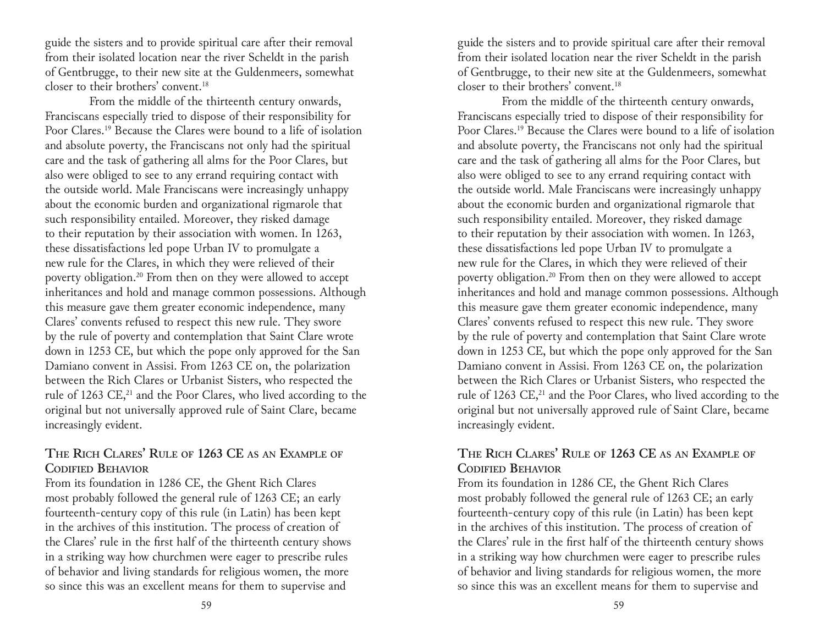guide the sisters and to provide spiritual care after their removal from their isolated location near the river Scheldt in the parish of Gentbrugge, to their new site at the Guldenmeers, somewhat closer to their brothers' convent.18

From the middle of the thirteenth century onwards, Franciscans especially tried to dispose of their responsibility for Poor Clares.19 Because the Clares were bound to a life of isolation and absolute poverty, the Franciscans not only had the spiritual care and the task of gathering all alms for the Poor Clares, but also were obliged to see to any errand requiring contact with the outside world. Male Franciscans were increasingly unhappy about the economic burden and organizational rigmarole that such responsibility entailed. Moreover, they risked damage to their reputation by their association with women. In 1263, these dissatisfactions led pope Urban IV to promulgate a new rule for the Clares, in which they were relieved of their poverty obligation.20 From then on they were allowed to accept inheritances and hold and manage common possessions. Although this measure gave them greater economic independence, many Clares' convents refused to respect this new rule. They swore by the rule of poverty and contemplation that Saint Clare wrote down in 1253 CE, but which the pope only approved for the San Damiano convent in Assisi. From 1263 CE on, the polarization between the Rich Clares or Urbanist Sisters, who respected the rule of 1263 CE,<sup>21</sup> and the Poor Clares, who lived according to the original but not universally approved rule of Saint Clare, became increasingly evident.

## **The Rich Clares' Rule of 1263 CE as an Example of Codified Behavior**

From its foundation in 1286 CE, the Ghent Rich Clares most probably followed the general rule of 1263 CE; an early fourteenth-century copy of this rule (in Latin) has been kept in the archives of this institution. The process of creation of the Clares' rule in the first half of the thirteenth century shows in a striking way how churchmen were eager to prescribe rules of behavior and living standards for religious women, the more so since this was an excellent means for them to supervise and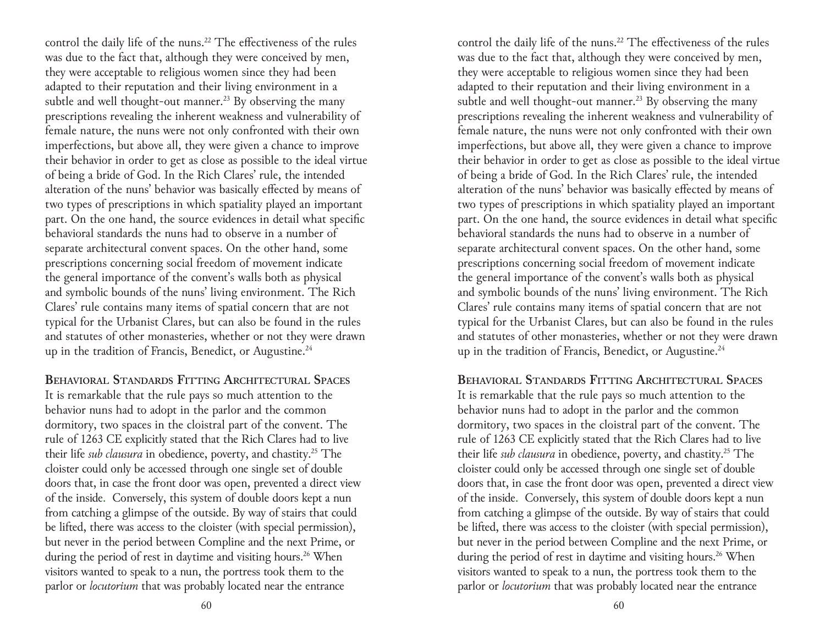control the daily life of the nuns.<sup>22</sup> The effectiveness of the rules was due to the fact that, although they were conceived by men, they were acceptable to religious women since they had been adapted to their reputation and their living environment in a subtle and well thought-out manner.<sup>23</sup> By observing the many prescriptions revealing the inherent weakness and vulnerability of female nature, the nuns were not only confronted with their own imperfections, but above all, they were given a chance to improve their behavior in order to get as close as possible to the ideal virtue of being a bride of God. In the Rich Clares' rule, the intended alteration of the nuns' behavior was basically effected by means of two types of prescriptions in which spatiality played an important part. On the one hand, the source evidences in detail what specific behavioral standards the nuns had to observe in a number of separate architectural convent spaces. On the other hand, some prescriptions concerning social freedom of movement indicate the general importance of the convent's walls both as physical and symbolic bounds of the nuns' living environment. The Rich Clares' rule contains many items of spatial concern that are not typical for the Urbanist Clares, but can also be found in the rules and statutes of other monasteries, whether or not they were drawn up in the tradition of Francis, Benedict, or Augustine.<sup>24</sup>

**Behavioral Standards Fitting Architectural Spaces** It is remarkable that the rule pays so much attention to the behavior nuns had to adopt in the parlor and the common dormitory, two spaces in the cloistral part of the convent. The rule of 1263 CE explicitly stated that the Rich Clares had to live their life *sub clausura* in obedience, poverty, and chastity.25 The cloister could only be accessed through one single set of double doors that, in case the front door was open, prevented a direct view of the inside. Conversely, this system of double doors kept a nun from catching a glimpse of the outside. By way of stairs that could be lifted, there was access to the cloister (with special permission), but never in the period between Compline and the next Prime, or during the period of rest in daytime and visiting hours.<sup>26</sup> When visitors wanted to speak to a nun, the portress took them to the parlor or *locutorium* that was probably located near the entrance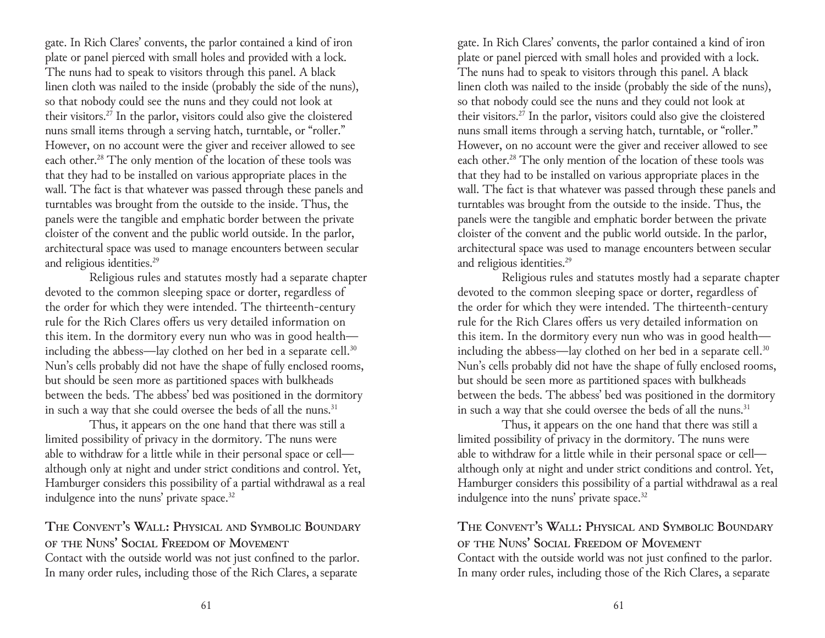gate. In Rich Clares' convents, the parlor contained a kind of iron plate or panel pierced with small holes and provided with a lock. The nuns had to speak to visitors through this panel. A black linen cloth was nailed to the inside (probably the side of the nuns), so that nobody could see the nuns and they could not look at their visitors.27 In the parlor, visitors could also give the cloistered nuns small items through a serving hatch, turntable, or "roller." However, on no account were the giver and receiver allowed to see each other.<sup>28</sup> The only mention of the location of these tools was that they had to be installed on various appropriate places in the wall. The fact is that whatever was passed through these panels and turntables was brought from the outside to the inside. Thus, the panels were the tangible and emphatic border between the private cloister of the convent and the public world outside. In the parlor, architectural space was used to manage encounters between secular and religious identities.29

Religious rules and statutes mostly had a separate chapter devoted to the common sleeping space or dorter, regardless of the order for which they were intended. The thirteenth-century rule for the Rich Clares offers us very detailed information on this item. In the dormitory every nun who was in good health including the abbess—lay clothed on her bed in a separate cell. $30$ Nun's cells probably did not have the shape of fully enclosed rooms, but should be seen more as partitioned spaces with bulkheads between the beds. The abbess' bed was positioned in the dormitory in such a way that she could oversee the beds of all the nuns.<sup>31</sup>

Thus, it appears on the one hand that there was still a limited possibility of privacy in the dormitory. The nuns were able to withdraw for a little while in their personal space or cell although only at night and under strict conditions and control. Yet, Hamburger considers this possibility of a partial withdrawal as a real indulgence into the nuns' private space.<sup>32</sup>

**The Convent's Wall: Physical and Symbolic Boundary of the Nuns' Social Freedom of Movement** Contact with the outside world was not just confined to the parlor. In many order rules, including those of the Rich Clares, a separate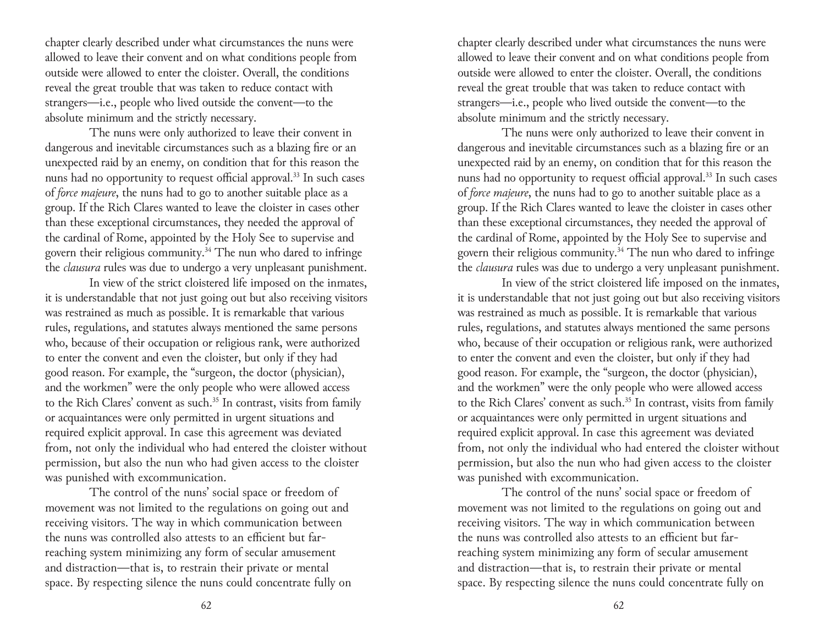chapter clearly described under what circumstances the nuns were allowed to leave their convent and on what conditions people from outside were allowed to enter the cloister. Overall, the conditions reveal the great trouble that was taken to reduce contact with strangers—i.e., people who lived outside the convent—to the absolute minimum and the strictly necessary.

The nuns were only authorized to leave their convent in dangerous and inevitable circumstances such as a blazing fire or an unexpected raid by an enemy, on condition that for this reason the nuns had no opportunity to request official approval.<sup>33</sup> In such cases of *force majeure*, the nuns had to go to another suitable place as a group. If the Rich Clares wanted to leave the cloister in cases other than these exceptional circumstances, they needed the approval of the cardinal of Rome, appointed by the Holy See to supervise and govern their religious community.<sup>34</sup> The nun who dared to infringe the *clausura* rules was due to undergo a very unpleasant punishment.

In view of the strict cloistered life imposed on the inmates, it is understandable that not just going out but also receiving visitors was restrained as much as possible. It is remarkable that various rules, regulations, and statutes always mentioned the same persons who, because of their occupation or religious rank, were authorized to enter the convent and even the cloister, but only if they had good reason. For example, the "surgeon, the doctor (physician), and the workmen" were the only people who were allowed access to the Rich Clares' convent as such.<sup>35</sup> In contrast, visits from family or acquaintances were only permitted in urgent situations and required explicit approval. In case this agreement was deviated from, not only the individual who had entered the cloister without permission, but also the nun who had given access to the cloister was punished with excommunication.

The control of the nuns' social space or freedom of movement was not limited to the regulations on going out and receiving visitors. The way in which communication between the nuns was controlled also attests to an efficient but farreaching system minimizing any form of secular amusement and distraction—that is, to restrain their private or mental space. By respecting silence the nuns could concentrate fully on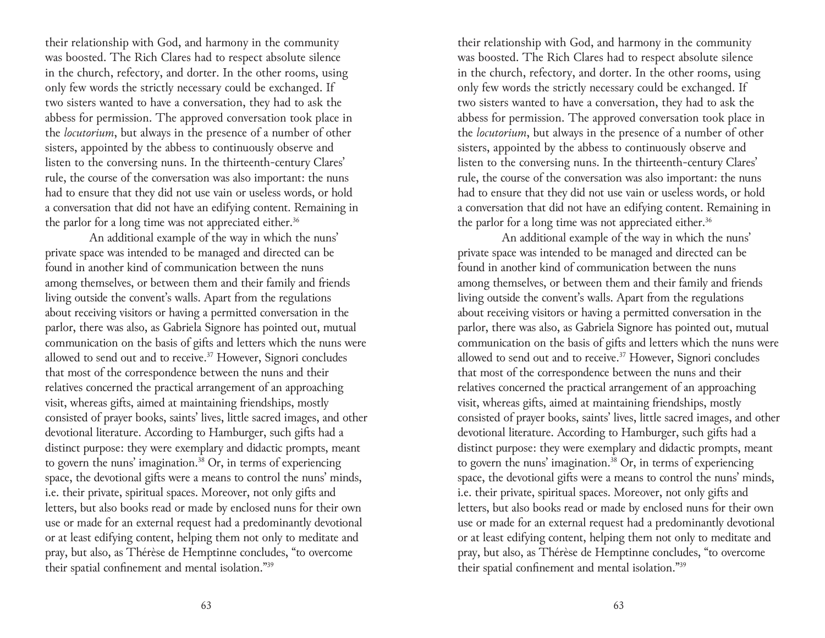their relationship with God, and harmony in the community was boosted. The Rich Clares had to respect absolute silence in the church, refectory, and dorter. In the other rooms, using only few words the strictly necessary could be exchanged. If two sisters wanted to have a conversation, they had to ask the abbess for permission. The approved conversation took place in the *locutorium*, but always in the presence of a number of other sisters, appointed by the abbess to continuously observe and listen to the conversing nuns. In the thirteenth-century Clares' rule, the course of the conversation was also important: the nuns had to ensure that they did not use vain or useless words, or hold a conversation that did not have an edifying content. Remaining in the parlor for a long time was not appreciated either.<sup>36</sup>

An additional example of the way in which the nuns' private space was intended to be managed and directed can be found in another kind of communication between the nuns among themselves, or between them and their family and friends living outside the convent's walls. Apart from the regulations about receiving visitors or having a permitted conversation in the parlor, there was also, as Gabriela Signore has pointed out, mutual communication on the basis of gifts and letters which the nuns were allowed to send out and to receive.37 However, Signori concludes that most of the correspondence between the nuns and their relatives concerned the practical arrangement of an approaching visit, whereas gifts, aimed at maintaining friendships, mostly consisted of prayer books, saints' lives, little sacred images, and other devotional literature. According to Hamburger, such gifts had a distinct purpose: they were exemplary and didactic prompts, meant to govern the nuns' imagination.<sup>38</sup> Or, in terms of experiencing space, the devotional gifts were a means to control the nuns' minds, i.e. their private, spiritual spaces. Moreover, not only gifts and letters, but also books read or made by enclosed nuns for their own use or made for an external request had a predominantly devotional or at least edifying content, helping them not only to meditate and pray, but also, as Thérèse de Hemptinne concludes, "to overcome their spatial confinement and mental isolation."39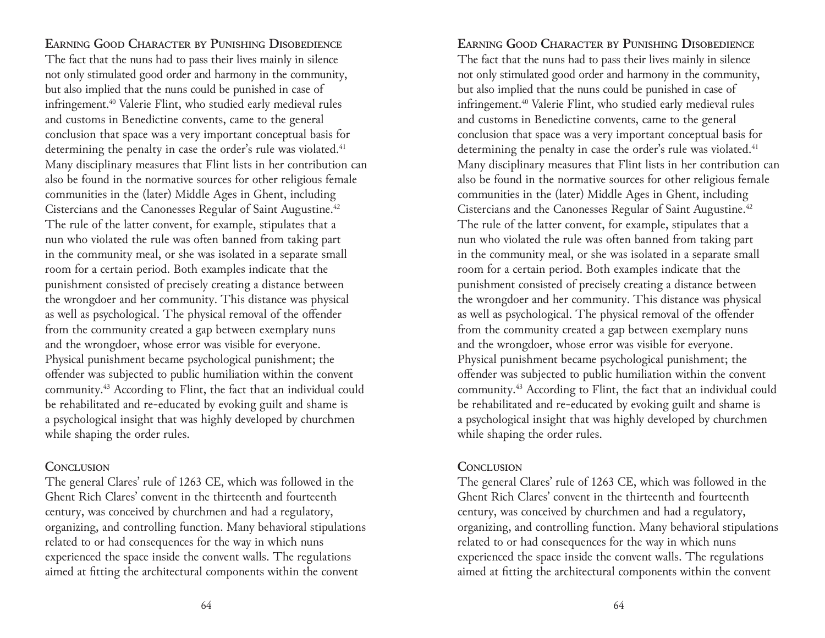**Earning Good Character by Punishing Disobedience** The fact that the nuns had to pass their lives mainly in silence not only stimulated good order and harmony in the community, but also implied that the nuns could be punished in case of infringement.40 Valerie Flint, who studied early medieval rules and customs in Benedictine convents, came to the general conclusion that space was a very important conceptual basis for determining the penalty in case the order's rule was violated.<sup>41</sup> Many disciplinary measures that Flint lists in her contribution can also be found in the normative sources for other religious female communities in the (later) Middle Ages in Ghent, including Cistercians and the Canonesses Regular of Saint Augustine.<sup>42</sup> The rule of the latter convent, for example, stipulates that a nun who violated the rule was often banned from taking part in the community meal, or she was isolated in a separate small room for a certain period. Both examples indicate that the punishment consisted of precisely creating a distance between the wrongdoer and her community. This distance was physical as well as psychological. The physical removal of the offender from the community created a gap between exemplary nuns and the wrongdoer, whose error was visible for everyone. Physical punishment became psychological punishment; the offender was subjected to public humiliation within the convent community.43 According to Flint, the fact that an individual could be rehabilitated and re-educated by evoking guilt and shame is a psychological insight that was highly developed by churchmen while shaping the order rules.

## **Conclusion**

The general Clares' rule of 1263 CE, which was followed in the Ghent Rich Clares' convent in the thirteenth and fourteenth century, was conceived by churchmen and had a regulatory, organizing, and controlling function. Many behavioral stipulations related to or had consequences for the way in which nuns experienced the space inside the convent walls. The regulations aimed at fitting the architectural components within the convent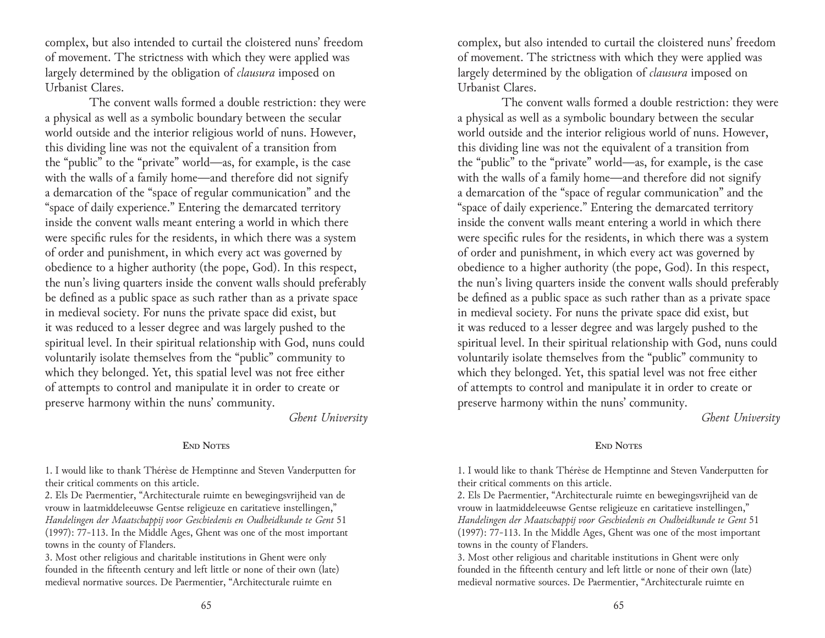complex, but also intended to curtail the cloistered nuns' freedom of movement. The strictness with which they were applied was largely determined by the obligation of *clausura* imposed on Urbanist Clares.

The convent walls formed a double restriction: they were a physical as well as a symbolic boundary between the secular world outside and the interior religious world of nuns. However, this dividing line was not the equivalent of a transition from the "public" to the "private" world—as, for example, is the case with the walls of a family home—and therefore did not signify a demarcation of the "space of regular communication" and the "space of daily experience." Entering the demarcated territory inside the convent walls meant entering a world in which there were specific rules for the residents, in which there was a system of order and punishment, in which every act was governed by obedience to a higher authority (the pope, God). In this respect, the nun's living quarters inside the convent walls should preferably be defined as a public space as such rather than as a private space in medieval society. For nuns the private space did exist, but it was reduced to a lesser degree and was largely pushed to the spiritual level. In their spiritual relationship with God, nuns could voluntarily isolate themselves from the "public" community to which they belonged. Yet, this spatial level was not free either of attempts to control and manipulate it in order to create or preserve harmony within the nuns' community.

*Ghent University*

#### **End Notes**

1. I would like to thank Thérèse de Hemptinne and Steven Vanderputten for their critical comments on this article.

2. Els De Paermentier, "Architecturale ruimte en bewegingsvrijheid van de vrouw in laatmiddeleeuwse Gentse religieuze en caritatieve instellingen," *Handelingen der Maatschappij voor Geschiedenis en Oudheidkunde te Gent* 51 (1997): 77-113. In the Middle Ages, Ghent was one of the most important towns in the county of Flanders.

3. Most other religious and charitable institutions in Ghent were only founded in the fifteenth century and left little or none of their own (late) medieval normative sources. De Paermentier, "Architecturale ruimte en

65 65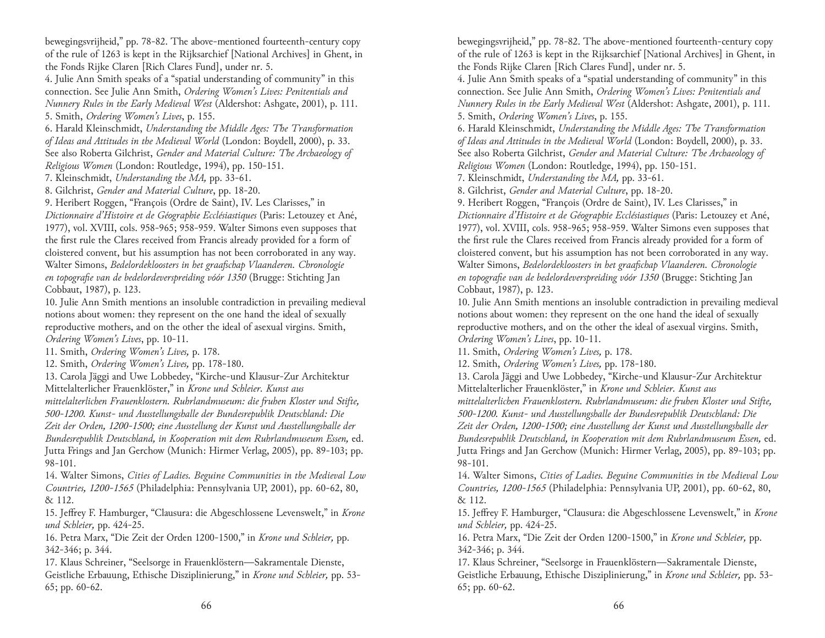bewegingsvrijheid," pp. 78-82. The above-mentioned fourteenth-century copy of the rule of 1263 is kept in the Rijksarchief [National Archives] in Ghent, in the Fonds Rijke Claren [Rich Clares Fund], under nr. 5.

4. Julie Ann Smith speaks of a "spatial understanding of community" in this connection. See Julie Ann Smith, *Ordering Women's Lives: Penitentials and Nunnery Rules in the Early Medieval West* (Aldershot: Ashgate, 2001), p. 111. 5. Smith, *Ordering Women's Lives*, p. 155.

6. Harald Kleinschmidt, *Understanding the Middle Ages: The Transformation of Ideas and Attitudes in the Medieval World* (London: Boydell, 2000), p. 33. See also Roberta Gilchrist, *Gender and Material Culture: The Archaeology of Religious Women* (London: Routledge, 1994), pp. 150-151.

7. Kleinschmidt, *Understanding the MA,* pp. 33-61.

8. Gilchrist, *Gender and Material Culture*, pp. 18-20.

9. Heribert Roggen, "François (Ordre de Saint), IV. Les Clarisses," in *Dictionnaire d'Histoire et de Géographie Ecclésiastiques* (Paris: Letouzey et Ané, 1977), vol. XVIII, cols. 958-965; 958-959. Walter Simons even supposes that the first rule the Clares received from Francis already provided for a form of cloistered convent, but his assumption has not been corroborated in any way. Walter Simons, *Bedelordekloosters in het graafschap Vlaanderen. Chronologie en topografie van de bedelordeverspreiding vóór 1350* (Brugge: Stichting Jan Cobbaut, 1987), p. 123.

10. Julie Ann Smith mentions an insoluble contradiction in prevailing medieval notions about women: they represent on the one hand the ideal of sexually reproductive mothers, and on the other the ideal of asexual virgins. Smith, *Ordering Women's Lives*, pp. 10-11.

11. Smith, *Ordering Women's Lives,* p. 178.

12. Smith, *Ordering Women's Lives,* pp. 178-180.

13. Carola Jäggi and Uwe Lobbedey, "Kirche-und Klausur-Zur Architektur Mittelalterlicher Frauenklöster," in *Krone und Schleier. Kunst aus* 

*mittelalterlichen Frauenklostern. Ruhrlandmuseum: die fruhen Kloster und Stifte, 500-1200. Kunst- und Ausstellungshalle der Bundesrepublik Deutschland: Die Zeit der Orden, 1200-1500; eine Ausstellung der Kunst und Ausstellungshalle der Bundesrepublik Deutschland, in Kooperation mit dem Ruhrlandmuseum Essen,* ed. Jutta Frings and Jan Gerchow (Munich: Hirmer Verlag, 2005), pp. 89-103; pp. 98-101.

14. Walter Simons, *Cities of Ladies. Beguine Communities in the Medieval Low Countries, 1200-1565* (Philadelphia: Pennsylvania UP, 2001), pp. 60-62, 80, & 112.

15. Jeffrey F. Hamburger, "Clausura: die Abgeschlossene Levenswelt," in *Krone und Schleier,* pp. 424-25.

16. Petra Marx, "Die Zeit der Orden 1200-1500," in *Krone und Schleier,* pp. 342-346; p. 344.

17. Klaus Schreiner, "Seelsorge in Frauenklöstern—Sakramentale Dienste, Geistliche Erbauung, Ethische Disziplinierung," in *Krone und Schleier,* pp. 53- 65; pp. 60-62.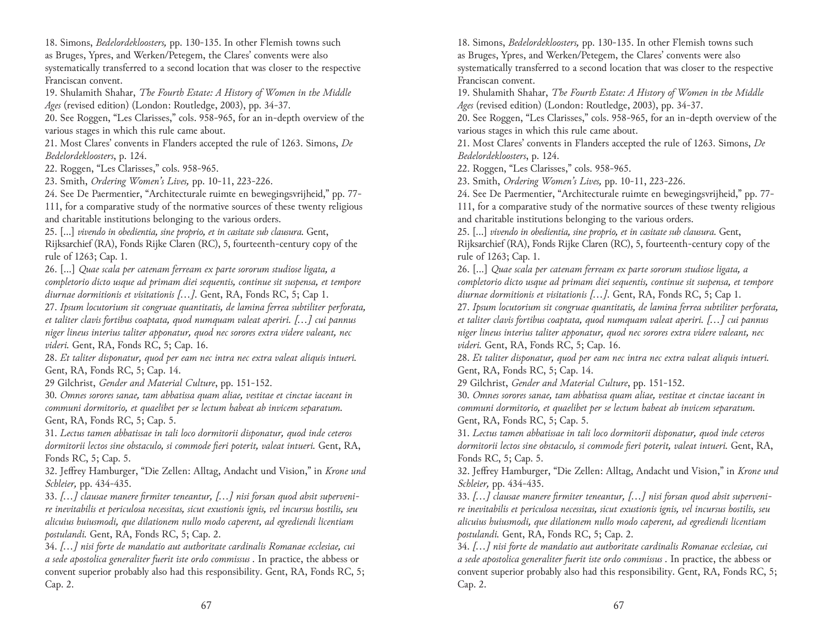18. Simons, *Bedelordekloosters,* pp. 130-135. In other Flemish towns such as Bruges, Ypres, and Werken/Petegem, the Clares' convents were also systematically transferred to a second location that was closer to the respective Franciscan convent.

19. Shulamith Shahar, *The Fourth Estate: A History of Women in the Middle Ages* (revised edition) (London: Routledge, 2003), pp. 34-37.

20. See Roggen, "Les Clarisses," cols. 958-965, for an in-depth overview of the various stages in which this rule came about.

21. Most Clares' convents in Flanders accepted the rule of 1263. Simons, *De Bedelordekloosters*, p. 124.

22. Roggen, "Les Clarisses," cols. 958-965.

23. Smith, *Ordering Women's Lives,* pp. 10-11, 223-226.

24. See De Paermentier, "Architecturale ruimte en bewegingsvrijheid," pp. 77- 111, for a comparative study of the normative sources of these twenty religious and charitable institutions belonging to the various orders.

25. [...] *vivendo in obedientia, sine proprio, et in casitate sub clausura.* Gent, Rijksarchief (RA), Fonds Rijke Claren (RC), 5, fourteenth-century copy of the rule of 1263; Cap. 1.

26. [...] *Quae scala per catenam ferream ex parte sororum studiose ligata, a completorio dicto usque ad primam diei sequentis, continue sit suspensa, et tempore diurnae dormitionis et visitationis [...].* Gent, RA, Fonds RC, 5; Cap 1.

27. *Ipsum locutorium sit congruae quantitatis, de lamina ferrea subtiliter perforata, et taliter clavis fortibus coaptata, quod numquam valeat aperiri. [...] cui pannus niger lineus interius taliter apponatur, quod nec sorores extra videre valeant, nec videri.* Gent, RA, Fonds RC, 5; Cap. 16.

28. *Et taliter disponatur, quod per eam nec intra nec extra valeat aliquis intueri.* Gent, RA, Fonds RC, 5; Cap. 14.

29 Gilchrist, *Gender and Material Culture*, pp. 151-152.

30. *Omnes sorores sanae, tam abbatissa quam aliae, vestitae et cinctae iaceant in communi dormitorio, et quaelibet per se lectum habeat ab invicem separatum.*  Gent, RA, Fonds RC, 5; Cap. 5.

31. *Lectus tamen abbatissae in tali loco dormitorii disponatur, quod inde ceteros dormitorii lectos sine obstaculo, si commode fieri poterit, valeat intueri.* Gent, RA, Fonds RC, 5; Cap. 5.

32. Jeffrey Hamburger, "Die Zellen: Alltag, Andacht und Vision," in *Krone und Schleier,* pp. 434-435.

33. *[...] clausae manere firmiter teneantur, [...] nisi forsan quod absit supervenire inevitabilis et periculosa necessitas, sicut exustionis ignis, vel incursus hostilis, seu alicuius huiusmodi, que dilationem nullo modo caperent, ad egrediendi licentiam postulandi.* Gent, RA, Fonds RC, 5; Cap. 2.

34. *[...] nisi forte de mandatio aut authoritate cardinalis Romanae ecclesiae, cui a sede apostolica generaliter fuerit iste ordo commissus .* In practice, the abbess or convent superior probably also had this responsibility. Gent, RA, Fonds RC, 5; Cap. 2.